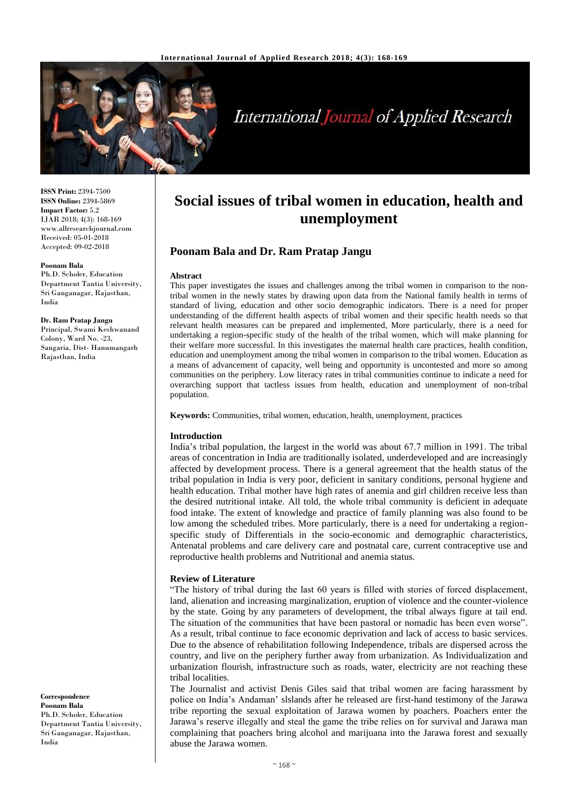

# **International Journal of Applied Research**

**ISSN Print:** 2394-7500 **ISSN Online:** 2394-5869 **Impact Factor:** 5.2 IJAR 2018; 4(3): 168-169 www.allresearchjournal.com Received: 05-01-2018 Accepted: 09-02-2018

#### **Poonam Bala**

Ph.D. Scholer, Education Department Tantia University, Sri Ganganagar, Rajasthan, India

#### **Dr. Ram Pratap Jangu**

Principal, Swami Keshwanand Colony, Ward No. -23, Sangaria, Dist- Hanumangarh Rajasthan, India

**Correspondence Poonam Bala** Ph.D. Scholer, Education Department Tantia University, Sri Ganganagar, Rajasthan, India

# **Social issues of tribal women in education, health and unemployment**

# **Poonam Bala and Dr. Ram Pratap Jangu**

#### **Abstract**

This paper investigates the issues and challenges among the tribal women in comparison to the nontribal women in the newly states by drawing upon data from the National family health in terms of standard of living, education and other socio demographic indicators. There is a need for proper understanding of the different health aspects of tribal women and their specific health needs so that relevant health measures can be prepared and implemented, More particularly, there is a need for undertaking a region-specific study of the health of the tribal women, which will make planning for their welfare more successful. In this investigates the maternal health care practices, health condition, education and unemployment among the tribal women in comparison to the tribal women. Education as a means of advancement of capacity, well being and opportunity is uncontested and more so among communities on the periphery. Low literacy rates in tribal communities continue to indicate a need for overarching support that tactless issues from health, education and unemployment of non-tribal population.

**Keywords:** Communities, tribal women, education, health, unemployment, practices

#### **Introduction**

India's tribal population, the largest in the world was about 67.7 million in 1991. The tribal areas of concentration in India are traditionally isolated, underdeveloped and are increasingly affected by development process. There is a general agreement that the health status of the tribal population in India is very poor, deficient in sanitary conditions, personal hygiene and health education. Tribal mother have high rates of anemia and girl children receive less than the desired nutritional intake. All told, the whole tribal community is deficient in adequate food intake. The extent of knowledge and practice of family planning was also found to be low among the scheduled tribes. More particularly, there is a need for undertaking a regionspecific study of Differentials in the socio-economic and demographic characteristics, Antenatal problems and care delivery care and postnatal care, current contraceptive use and reproductive health problems and Nutritional and anemia status.

#### **Review of Literature**

"The history of tribal during the last 60 years is filled with stories of forced displacement, land, alienation and increasing marginalization, eruption of violence and the counter-violence by the state. Going by any parameters of development, the tribal always figure at tail end. The situation of the communities that have been pastoral or nomadic has been even worse". As a result, tribal continue to face economic deprivation and lack of access to basic services. Due to the absence of rehabilitation following Independence, tribals are dispersed across the country, and live on the periphery further away from urbanization. As Individualization and urbanization flourish, infrastructure such as roads, water, electricity are not reaching these tribal localities.

The Journalist and activist Denis Giles said that tribal women are facing harassment by police on India's Andaman' slslands after he released are first-hand testimony of the Jarawa tribe reporting the sexual exploitation of Jarawa women by poachers. Poachers enter the Jarawa's reserve illegally and steal the game the tribe relies on for survival and Jarawa man complaining that poachers bring alcohol and marijuana into the Jarawa forest and sexually abuse the Jarawa women.